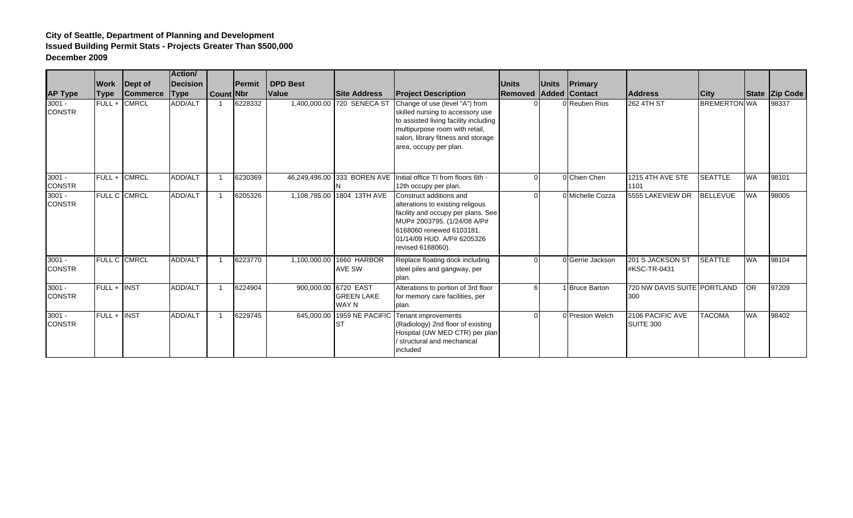|                           |                     |                     | <b>Action/</b>  |           |               |                 |                                                    |                                                                                                                                                                                                                 |                |              |                  |                                    |                     |           |                       |
|---------------------------|---------------------|---------------------|-----------------|-----------|---------------|-----------------|----------------------------------------------------|-----------------------------------------------------------------------------------------------------------------------------------------------------------------------------------------------------------------|----------------|--------------|------------------|------------------------------------|---------------------|-----------|-----------------------|
|                           |                     | <b>Work</b> Dept of | <b>Decision</b> |           | <b>Permit</b> | <b>DPD Best</b> |                                                    |                                                                                                                                                                                                                 | <b>Units</b>   | <b>Units</b> | Primary          |                                    |                     |           |                       |
| <b>AP Type</b>            | <b>Type</b>         | <b>Commerce</b>     | <b>Type</b>     | Count Nbr |               | <b>Value</b>    | <b>Site Address</b>                                | <b>Project Description</b>                                                                                                                                                                                      | <b>Removed</b> |              | Added Contact    | <b>Address</b>                     | <b>City</b>         |           | <b>State Zip Code</b> |
| $3001 -$<br><b>CONSTR</b> | $FUL +$             | <b>CMRCL</b>        | ADD/ALT         |           | 6228332       |                 | 1,400,000.00 720 SENECA ST                         | Change of use (level "A") from<br>skilled nursing to accessory use<br>to assisted living facility including<br>multipurpose room with retail,<br>salon, library fitness and storage<br>area, occupy per plan.   |                |              | 0 Reuben Rios    | <b>262 4TH ST</b>                  | <b>BREMERTON WA</b> |           | 98337                 |
| $3001 -$<br><b>CONSTR</b> | FULL + CMRCL        |                     | ADD/ALT         |           | 6230369       |                 |                                                    | 46,249,496.00 333 BOREN AVE Initial office TI from floors 6th -<br>12th occupy per plan.                                                                                                                        | $\Omega$       |              | 0 Chien Chen     | 1215 4TH AVE STE<br>1101           | <b>SEATTLE</b>      | <b>WA</b> | 98101                 |
| $3001 -$<br><b>CONSTR</b> | <b>FULL C CMRCL</b> |                     | ADD/ALT         |           | 6205326       | 1,108,785.00    | 1804 13TH AVE                                      | Construct additions and<br>alterations to existing religous<br>facility and occupy per plans. See<br>MUP# 2003795. (1/24/08 A/P#<br>6168060 renewed 6103181.<br>01/14/09 HUD. A/P# 6205326<br>revised 6168060). | $\Omega$       |              | 0 Michelle Cozza | 5555 LAKEVIEW DR                   | <b>BELLEVUE</b>     | <b>WA</b> | 98005                 |
| $3001 -$<br><b>CONSTR</b> | FULL C CMRCL        |                     | ADD/ALT         |           | 6223770       | 1,100,000.00    | 1660 HARBOR<br><b>AVE SW</b>                       | Replace floating dock including<br>steel piles and gangway, per<br>plan.                                                                                                                                        | $\Omega$       |              | 0 Gerrie Jackson | 201 S JACKSON ST<br>#KSC-TR-0431   | <b>SEATTLE</b>      | <b>WA</b> | 98104                 |
| $3001 -$<br><b>CONSTR</b> | FULL + INST         |                     | ADD/ALT         |           | 6224904       |                 | 900,000.00 6720 EAST<br><b>GREEN LAKE</b><br>WAY N | Alterations to portion of 3rd floor<br>for memory care facilities, per<br>plan.                                                                                                                                 | 6I             |              | 1 Bruce Barton   | 720 NW DAVIS SUITE PORTLAND<br>300 |                     | OR.       | 97209                 |
| $3001 -$<br><b>CONSTR</b> | FULL+               | <b>INST</b>         | ADD/ALT         |           | 6229745       | 645,000.00      | 1959 NE PACIFIC<br><b>ST</b>                       | Tenant improvements<br>(Radiology) 2nd floor of existing<br>Hospital (UW MED CTR) per plan<br>structural and mechanical<br>included                                                                             | $\Omega$       |              | 0 Preston Welch  | 2106 PACIFIC AVE<br>SUITE 300      | <b>TACOMA</b>       | <b>WA</b> | 98402                 |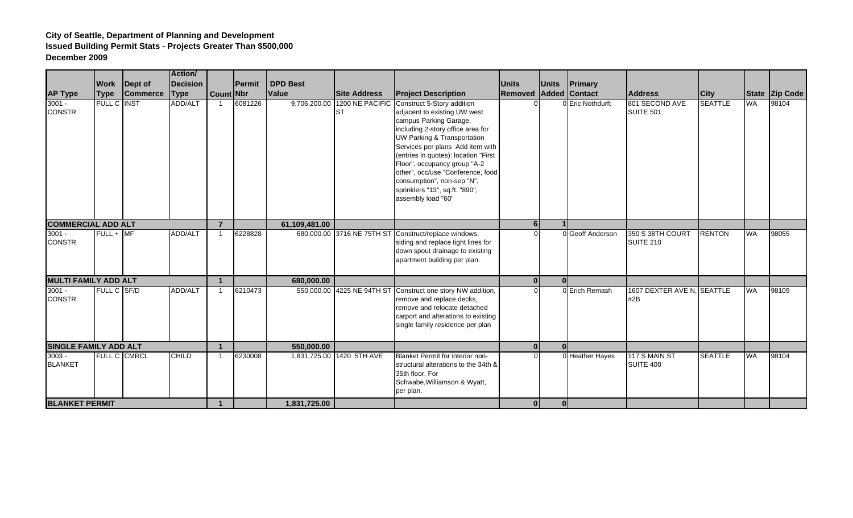|                              |                    |                 | Action/         |                      |                |                 |                                     |                                                                                                                                                                                                                                                                                                                                                                                                 |                |                |                      |                                   |                |           |                |
|------------------------------|--------------------|-----------------|-----------------|----------------------|----------------|-----------------|-------------------------------------|-------------------------------------------------------------------------------------------------------------------------------------------------------------------------------------------------------------------------------------------------------------------------------------------------------------------------------------------------------------------------------------------------|----------------|----------------|----------------------|-----------------------------------|----------------|-----------|----------------|
|                              | <b>Work</b>        | Dept of         | <b>Decision</b> |                      | <b>IPermit</b> | <b>DPD Best</b> |                                     |                                                                                                                                                                                                                                                                                                                                                                                                 | <b>Units</b>   | <b>Units</b>   | Primary              |                                   |                |           |                |
| <b>AP Type</b>               | <b>Type</b>        | <b>Commerce</b> | <b>Type</b>     | <b>Count Nbr</b>     |                | <b>Value</b>    | <b>Site Address</b>                 | <b>Project Description</b>                                                                                                                                                                                                                                                                                                                                                                      | Removed        |                | <b>Added Contact</b> | <b>Address</b>                    | <b>City</b>    |           | State Zip Code |
| $3001 -$<br><b>CONSTR</b>    | <b>FULL C INST</b> |                 | ADD/ALT         |                      | 6081226        |                 | 9,706,200.00 1200 NE PACIFIC<br>Ist | Construct 5-Story addition<br>adjacent to existing UW west<br>campus Parking Garage,<br>including 2-story office area for<br>UW Parking & Transportation<br>Services per plans Add item with<br>(entries in quotes): location "First<br>Floor", occupancy group "A-2<br>other", occ/use "Conference, food<br>consumption", non-sep "N",<br>sprinklers "13", sq.ft. "890",<br>assembly load "60" |                |                | 0 Eric Nothdurft     | 801 SECOND AVE<br>SUITE 501       | <b>SEATTLE</b> | <b>WA</b> | 98104          |
| <b>COMMERCIAL ADD ALT</b>    |                    |                 |                 | $\overline{7}$       |                | 61,109,481.00   |                                     |                                                                                                                                                                                                                                                                                                                                                                                                 | 6 <sup>1</sup> |                |                      |                                   |                |           |                |
| $3001 -$<br><b>CONSTR</b>    | $FULL + MF$        |                 | <b>ADD/ALT</b>  | $\overline{1}$       | 6228828        |                 | 680,000.00 3716 NE 75TH ST          | Construct/replace windows,<br>siding and replace tight lines for<br>down spout drainage to existing<br>apartment building per plan.                                                                                                                                                                                                                                                             | $\Omega$       |                | 0 Geoff Anderson     | 350 S 38TH COURT<br>SUITE 210     | <b>RENTON</b>  | <b>WA</b> | 98055          |
| <b>MULTI FAMILY ADD ALT</b>  |                    |                 |                 | $\blacktriangleleft$ |                | 680,000.00      |                                     |                                                                                                                                                                                                                                                                                                                                                                                                 | 0              | 0 <sup>l</sup> |                      |                                   |                |           |                |
| $3001 -$<br><b>CONSTR</b>    | FULL C SF/D        |                 | <b>ADD/ALT</b>  | $\mathbf{1}$         | 6210473        |                 | 550,000.00 4225 NE 94TH ST          | Construct one story NW addition,<br>remove and replace decks,<br>remove and relocate detached<br>carport and alterations to existing<br>single family residence per plan                                                                                                                                                                                                                        | $\Omega$       |                | 0 Erich Remash       | 1607 DEXTER AVE N. SEATTLE<br>#2B |                | <b>WA</b> | 98109          |
| <b>SINGLE FAMILY ADD ALT</b> |                    |                 |                 |                      |                | 550,000.00      |                                     |                                                                                                                                                                                                                                                                                                                                                                                                 | 0              | $\Omega$       |                      |                                   |                |           |                |
| $3003 -$<br><b>BLANKET</b>   | FULL C CMRCL       |                 | <b>CHILD</b>    | $\mathbf{1}$         | 6230008        |                 | 1,831,725.00 1420 5TH AVE           | <b>Blanket Permit for interior non-</b><br>structural alterations to the 34th &<br>35th floor. For<br>Schwabe, Williamson & Wyatt,<br>per plan.                                                                                                                                                                                                                                                 | U              |                | 0 Heather Hayes      | 117 S MAIN ST<br>SUITE 400        | <b>SEATTLE</b> | <b>WA</b> | 98104          |
| <b>BLANKET PERMIT</b>        |                    |                 |                 | $\blacktriangleleft$ |                | 1,831,725.00    |                                     |                                                                                                                                                                                                                                                                                                                                                                                                 | 0              | $\mathbf{0}$   |                      |                                   |                |           |                |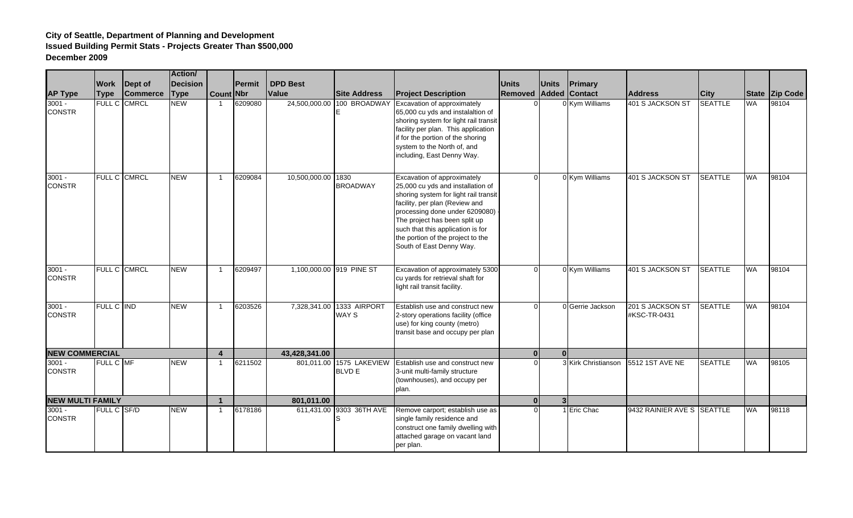|                           |              |                     | <b>Action/</b>  |                         |               |                    |                                |                                                                                                                                                                                                                                                                                                                        |              |              |                     |                                  |                |           |                |
|---------------------------|--------------|---------------------|-----------------|-------------------------|---------------|--------------------|--------------------------------|------------------------------------------------------------------------------------------------------------------------------------------------------------------------------------------------------------------------------------------------------------------------------------------------------------------------|--------------|--------------|---------------------|----------------------------------|----------------|-----------|----------------|
|                           |              | <b>Work</b> Dept of | <b>Decision</b> |                         | <b>Permit</b> | <b>DPD Best</b>    |                                |                                                                                                                                                                                                                                                                                                                        | Units        | <b>Units</b> | Primary             |                                  |                |           |                |
| <b>AP Type</b>            | <b>Type</b>  | <b>Commerce</b>     | <b>Type</b>     | Count Nbr               |               | Value              | <b>Site Address</b>            | <b>Project Description</b>                                                                                                                                                                                                                                                                                             | Removed      | Added        | <b>Contact</b>      | <b>Address</b>                   | <b>City</b>    |           | State Zip Code |
| $3001 -$<br><b>CONSTR</b> |              | FULL C CMRCL        | <b>NEW</b>      |                         | 6209080       | 24,500,000.00      | 100 BROADWAY                   | Excavation of approximately<br>65,000 cu yds and instalaltion of<br>shoring system for light rail transit<br>facility per plan. This application<br>if for the portion of the shoring<br>system to the North of, and<br>including, East Denny Way.                                                                     |              |              | 0 Kym Williams      | 401 S JACKSON ST                 | <b>SEATTLE</b> | <b>WA</b> | 98104          |
| $3001 -$<br><b>CONSTR</b> |              | FULL C CMRCL        | <b>NEW</b>      | -1                      | 6209084       | 10,500,000.00 1830 | <b>BROADWAY</b>                | Excavation of approximately<br>25,000 cu yds and installation of<br>shoring system for light rail transit<br>facility, per plan (Review and<br>processing done under 6209080) -<br>The project has been split up<br>such that this application is for<br>the portion of the project to the<br>South of East Denny Way. | $\Omega$     |              | 0 Kym Williams      | 401 S JACKSON ST                 | <b>SEATTLE</b> | <b>WA</b> | 98104          |
| $3001 -$<br><b>CONSTR</b> | FULL C CMRCL |                     | <b>NEW</b>      | $\overline{1}$          | 6209497       |                    | 1,100,000.00 919 PINE ST       | Excavation of approximately 5300<br>cu yards for retrieval shaft for<br>light rail transit facility.                                                                                                                                                                                                                   | $\Omega$     |              | 0 Kym Williams      | 401 S JACKSON ST                 | <b>SEATTLE</b> | WA        | 98104          |
| $3001 -$<br><b>CONSTR</b> | FULL C IND   |                     | <b>NEW</b>      | $\overline{\mathbf{1}}$ | 6203526       | 7,328,341.00       | 1333 AIRPORT<br>WAY S          | Establish use and construct new<br>2-story operations facility (office<br>use) for king county (metro)<br>transit base and occupy per plan                                                                                                                                                                             | $\Omega$     |              | 0 Gerrie Jackson    | 201 S JACKSON ST<br>#KSC-TR-0431 | <b>SEATTLE</b> | <b>WA</b> | 98104          |
| <b>NEW COMMERCIAL</b>     |              |                     |                 | $\overline{\mathbf{4}}$ |               | 43,428,341.00      |                                |                                                                                                                                                                                                                                                                                                                        | $\mathbf{0}$ | <sup>n</sup> |                     |                                  |                |           |                |
| $3001 -$<br><b>CONSTR</b> | FULL C MF    |                     | NEW             | $\overline{1}$          | 6211502       | 801,011.00         | 1575 LAKEVIEW<br><b>BLVD E</b> | Establish use and construct new<br>3-unit multi-family structure<br>(townhouses), and occupy per<br>plan.                                                                                                                                                                                                              |              |              | 3 Kirk Christianson | 5512 1ST AVE NE                  | <b>SEATTLE</b> | <b>WA</b> | 98105          |
| <b>NEW MULTI FAMILY</b>   |              |                     | $\mathbf{1}$    |                         | 801,011.00    |                    |                                | 0                                                                                                                                                                                                                                                                                                                      | ર            |              |                     |                                  |                |           |                |
| $3001 -$<br><b>CONSTR</b> | FULL C SF/D  |                     | <b>NEW</b>      | $\overline{1}$          | 6178186       |                    | 611,431.00 9303 36TH AVE       | Remove carport; establish use as<br>single family residence and<br>construct one family dwelling with<br>attached garage on vacant land<br>per plan.                                                                                                                                                                   | $\Omega$     |              | 1 Eric Chac         | 9432 RAINIER AVE S SEATTLE       |                | WA        | 98118          |